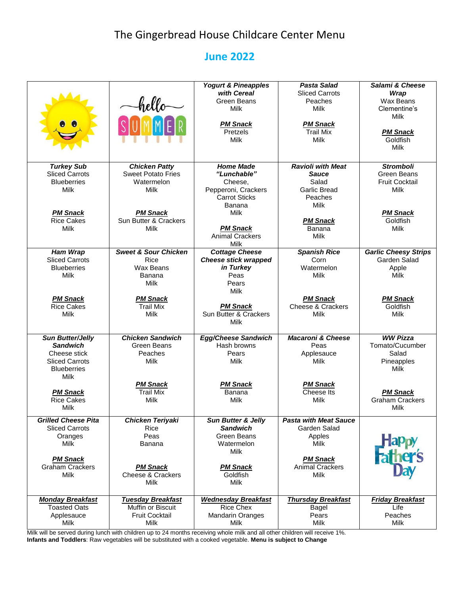## The Gingerbread House Childcare Center Menu

## **June 2022**

|                            |                                 | <b>Yogurt &amp; Pineapples</b> | <b>Pasta Salad</b>           | <b>Salami &amp; Cheese</b>      |
|----------------------------|---------------------------------|--------------------------------|------------------------------|---------------------------------|
|                            |                                 | with Cereal                    | <b>Sliced Carrots</b>        | Wrap                            |
|                            |                                 | <b>Green Beans</b>             |                              |                                 |
|                            | hello—                          |                                | Peaches                      | Wax Beans                       |
|                            |                                 | Milk                           | Milk                         | Clementine's                    |
|                            |                                 |                                |                              | Milk                            |
|                            |                                 | <b>PM Snack</b>                | <b>PM Snack</b>              |                                 |
|                            |                                 | Pretzels                       | <b>Trail Mix</b>             | <b>PM Snack</b>                 |
|                            |                                 | <b>Milk</b>                    | <b>Milk</b>                  | Goldfish                        |
|                            |                                 |                                |                              | Milk                            |
|                            |                                 |                                |                              |                                 |
|                            |                                 |                                |                              |                                 |
| <b>Turkey Sub</b>          | <b>Chicken Patty</b>            | <b>Home Made</b>               | <b>Ravioli with Meat</b>     | <b>Stromboli</b>                |
| <b>Sliced Carrots</b>      | <b>Sweet Potato Fries</b>       | "Lunchable"                    | <b>Sauce</b>                 | <b>Green Beans</b>              |
| <b>Blueberries</b>         | Watermelon                      | Cheese,                        | Salad                        | <b>Fruit Cocktail</b>           |
| <b>Milk</b>                | Milk                            | Pepperoni, Crackers            | <b>Garlic Bread</b>          | Milk                            |
|                            |                                 | <b>Carrot Sticks</b>           | Peaches                      |                                 |
|                            |                                 | Banana                         | Milk                         |                                 |
| <b>PM Snack</b>            | <b>PM Snack</b>                 | <b>Milk</b>                    |                              | <b>PM Snack</b>                 |
| <b>Rice Cakes</b>          | Sun Butter & Crackers           |                                | <b>PM Snack</b>              | Goldfish                        |
| Milk                       | <b>Milk</b>                     | <b>PM Snack</b>                | Banana                       | <b>Milk</b>                     |
|                            |                                 | <b>Animal Crackers</b>         | Milk                         |                                 |
|                            |                                 | Milk                           |                              |                                 |
| <b>Ham Wrap</b>            | <b>Sweet &amp; Sour Chicken</b> | <b>Cottage Cheese</b>          | <b>Spanish Rice</b>          | <b>Garlic Cheesy Strips</b>     |
| <b>Sliced Carrots</b>      | <b>Rice</b>                     | <b>Cheese stick wrapped</b>    | Corn                         | Garden Salad                    |
| <b>Blueberries</b>         | Wax Beans                       | in Turkey                      | Watermelon                   | Apple                           |
| Milk                       | Banana                          | Peas                           | Milk                         | Milk                            |
|                            |                                 | Pears                          |                              |                                 |
|                            | Milk                            |                                |                              |                                 |
|                            |                                 | <b>Milk</b>                    |                              |                                 |
| <b>PM Snack</b>            | <b>PM Snack</b>                 |                                | <b>PM Snack</b>              | <b>PM Snack</b>                 |
| <b>Rice Cakes</b>          | <b>Trail Mix</b>                | <b>PM Snack</b>                | <b>Cheese &amp; Crackers</b> | Goldfish                        |
| Milk                       | Milk                            | Sun Butter & Crackers          | Milk                         | Milk                            |
|                            |                                 | Milk                           |                              |                                 |
|                            |                                 |                                |                              |                                 |
| <b>Sun Butter/Jelly</b>    | <b>Chicken Sandwich</b>         | <b>Egg/Cheese Sandwich</b>     | <b>Macaroni &amp; Cheese</b> | <b>WW Pizza</b>                 |
| <b>Sandwich</b>            | Green Beans                     | Hash browns                    | Peas                         | Tomato/Cucumber                 |
| Cheese stick               | Peaches                         | Pears                          | Applesauce                   | Salad                           |
| <b>Sliced Carrots</b>      | <b>Milk</b>                     | <b>Milk</b>                    | Milk                         | Pineapples                      |
| <b>Blueberries</b>         |                                 |                                |                              | Milk                            |
| Milk                       |                                 |                                |                              |                                 |
|                            | <b>PM Snack</b>                 | <b>PM Snack</b>                | <b>PM Snack</b>              |                                 |
| <b>PM Snack</b>            | <b>Trail Mix</b>                | Banana                         | Cheese Its                   | <b>PM Snack</b>                 |
| <b>Rice Cakes</b>          | Milk                            | Milk                           | Milk                         | <b>Graham Crackers</b>          |
| Milk                       |                                 |                                |                              | Milk                            |
|                            |                                 |                                |                              |                                 |
| <b>Grilled Cheese Pita</b> | <b>Chicken Teriyaki</b>         | <b>Sun Butter &amp; Jelly</b>  | <b>Pasta with Meat Sauce</b> |                                 |
| <b>Sliced Carrots</b>      | Rice                            | <b>Sandwich</b>                | Garden Salad                 |                                 |
| Oranges                    | Peas                            | Green Beans                    | Apples                       |                                 |
| Milk                       | Banana                          | Watermelon                     | <b>Milk</b>                  |                                 |
|                            |                                 | <b>Milk</b>                    |                              | <b>Happy</b><br><b>Father's</b> |
| <b>PM Snack</b>            |                                 |                                | <b>PM Snack</b>              |                                 |
| <b>Graham Crackers</b>     | <b>PM Snack</b>                 | <b>PM Snack</b>                | <b>Animal Crackers</b>       |                                 |
| <b>Milk</b>                | <b>Cheese &amp; Crackers</b>    | Goldfish                       | <b>Milk</b>                  |                                 |
|                            | <b>Milk</b>                     | Milk                           |                              |                                 |
|                            |                                 |                                |                              |                                 |
| <b>Monday Breakfast</b>    | <b>Tuesday Breakfast</b>        | <b>Wednesday Breakfast</b>     | <b>Thursday Breakfast</b>    | <b>Friday Breakfast</b>         |
| <b>Toasted Oats</b>        | Muffin or Biscuit               | Rice Chex                      | Bagel                        | Life                            |
| Applesauce                 | <b>Fruit Cocktail</b>           | <b>Mandarin Oranges</b>        | Pears                        | Peaches                         |
| Milk                       | Milk                            | Milk                           | Milk                         | Milk                            |
|                            |                                 |                                |                              |                                 |

Milk will be served during lunch with children up to 24 months receiving whole milk and all other children will receive 1%. **Infants and Toddlers**: Raw vegetables will be substituted with a cooked vegetable. **Menu is subject to Change**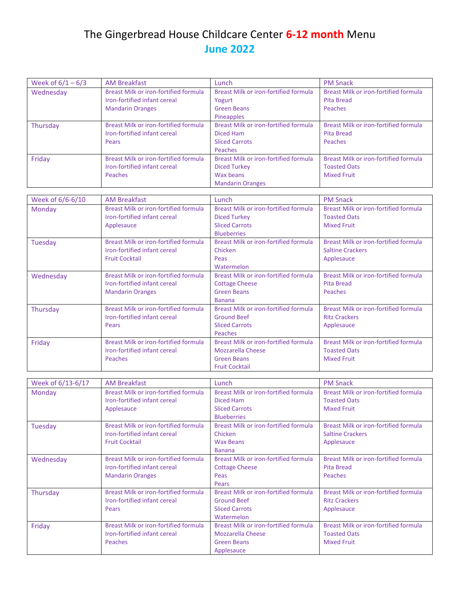## The Gingerbread House Childcare Center **6-12 month** Menu **June 2022**

| Week of $6/1 - 6/3$ | <b>AM Breakfast</b>                          | Lunch                                        | <b>PM Snack</b>                              |
|---------------------|----------------------------------------------|----------------------------------------------|----------------------------------------------|
|                     | <b>Breast Milk or iron-fortified formula</b> | <b>Breast Milk or iron-fortified formula</b> |                                              |
| Wednesday           |                                              |                                              | Breast Milk or iron-fortified formula        |
|                     | Iron-fortified infant cereal                 | Yogurt                                       | <b>Pita Bread</b>                            |
|                     | <b>Mandarin Oranges</b>                      | <b>Green Beans</b>                           | Peaches                                      |
|                     |                                              | Pineapples                                   |                                              |
| Thursday            | <b>Breast Milk or iron-fortified formula</b> | Breast Milk or iron-fortified formula        | <b>Breast Milk or iron-fortified formula</b> |
|                     | Iron-fortified infant cereal                 | <b>Diced Ham</b>                             | <b>Pita Bread</b>                            |
|                     | Pears                                        | <b>Sliced Carrots</b>                        | Peaches                                      |
|                     |                                              | <b>Peaches</b>                               |                                              |
| Friday              | <b>Breast Milk or iron-fortified formula</b> | <b>Breast Milk or iron-fortified formula</b> | <b>Breast Milk or iron-fortified formula</b> |
|                     | Iron-fortified infant cereal                 | <b>Diced Turkey</b>                          | <b>Toasted Oats</b>                          |
|                     | Peaches                                      | Wax beans                                    | <b>Mixed Fruit</b>                           |
|                     |                                              | <b>Mandarin Oranges</b>                      |                                              |
|                     |                                              |                                              |                                              |
| Week of 6/6-6/10    | <b>AM Breakfast</b>                          | Lunch                                        | <b>PM Snack</b>                              |
| Monday              | <b>Breast Milk or iron-fortified formula</b> | <b>Breast Milk or iron-fortified formula</b> | <b>Breast Milk or iron-fortified formula</b> |
|                     | Iron-fortified infant cereal                 | <b>Diced Turkey</b>                          | <b>Toasted Oats</b>                          |
|                     | Applesauce                                   | <b>Sliced Carrots</b>                        | <b>Mixed Fruit</b>                           |
|                     |                                              | <b>Blueberries</b>                           |                                              |
| Tuesday             | <b>Breast Milk or iron-fortified formula</b> | <b>Breast Milk or iron-fortified formula</b> | <b>Breast Milk or iron-fortified formula</b> |
|                     | Iron-fortified infant cereal                 | Chicken                                      | <b>Saltine Crackers</b>                      |
|                     | <b>Fruit Cocktail</b>                        | Peas                                         |                                              |
|                     |                                              |                                              | Applesauce                                   |
|                     |                                              | Watermelon                                   |                                              |
| Wednesday           | Breast Milk or iron-fortified formula        | Breast Milk or iron-fortified formula        | <b>Breast Milk or iron-fortified formula</b> |
|                     | Iron-fortified infant cereal                 | <b>Cottage Cheese</b>                        | <b>Pita Bread</b>                            |
|                     | <b>Mandarin Oranges</b>                      | <b>Green Beans</b>                           | Peaches                                      |
|                     |                                              | <b>Banana</b>                                |                                              |
| Thursday            | <b>Breast Milk or iron-fortified formula</b> | <b>Breast Milk or iron-fortified formula</b> | Breast Milk or iron-fortified formula        |
|                     | Iron-fortified infant cereal                 | <b>Ground Beef</b>                           | <b>Ritz Crackers</b>                         |
|                     | Pears                                        | <b>Sliced Carrots</b>                        | Applesauce                                   |
|                     |                                              | <b>Peaches</b>                               |                                              |
| Friday              | <b>Breast Milk or iron-fortified formula</b> | <b>Breast Milk or iron-fortified formula</b> | <b>Breast Milk or iron-fortified formula</b> |
|                     | Iron-fortified infant cereal                 | <b>Mozzarella Cheese</b>                     | <b>Toasted Oats</b>                          |
|                     | <b>Peaches</b>                               | <b>Green Beans</b>                           | <b>Mixed Fruit</b>                           |
|                     |                                              | <b>Fruit Cocktail</b>                        |                                              |
|                     |                                              |                                              |                                              |
| Week of 6/13-6/17   | <b>AM Breakfast</b>                          | Lunch                                        | <b>PM Snack</b>                              |
| Monday              | Breast Milk or iron-fortified formula        | Breast Milk or iron-fortified formula        | Breast Milk or iron-fortified formula        |
|                     | Iron-fortified infant cereal                 | <b>Diced Ham</b>                             | <b>Toasted Oats</b>                          |
|                     | Applesauce                                   | <b>Sliced Carrots</b>                        | <b>Mixed Fruit</b>                           |
|                     |                                              | <b>Blueberries</b>                           |                                              |
| Tuesday             | <b>Breast Milk or iron-fortified formula</b> | Breast Milk or iron-fortified formula        | Breast Milk or iron-fortified formula        |
|                     | Iron-fortified infant cereal                 | Chicken                                      | <b>Saltine Crackers</b>                      |
|                     | <b>Fruit Cocktail</b>                        | <b>Wax Beans</b>                             | Applesauce                                   |
|                     |                                              | <b>Banana</b>                                |                                              |
|                     | Breast Milk or iron-fortified formula        | <b>Breast Milk or iron-fortified formula</b> | <b>Breast Milk or iron-fortified formula</b> |
| Wednesday           | Iron-fortified infant cereal                 |                                              | <b>Pita Bread</b>                            |
|                     |                                              | <b>Cottage Cheese</b>                        |                                              |
|                     | <b>Mandarin Oranges</b>                      | Peas                                         | Peaches                                      |
|                     |                                              | Pears                                        |                                              |
| Thursday            | Breast Milk or iron-fortified formula        | <b>Breast Milk or iron-fortified formula</b> | Breast Milk or iron-fortified formula        |
|                     | Iron-fortified infant cereal                 | <b>Ground Beef</b>                           | <b>Ritz Crackers</b>                         |
|                     | Pears                                        | <b>Sliced Carrots</b>                        | Applesauce                                   |
|                     |                                              | Watermelon                                   |                                              |
| Friday              | <b>Breast Milk or iron-fortified formula</b> | <b>Breast Milk or iron-fortified formula</b> | <b>Breast Milk or iron-fortified formula</b> |
|                     | Iron-fortified infant cereal                 | <b>Mozzarella Cheese</b>                     | <b>Toasted Oats</b>                          |
|                     | Peaches                                      | <b>Green Beans</b>                           | <b>Mixed Fruit</b>                           |
|                     |                                              | Applesauce                                   |                                              |